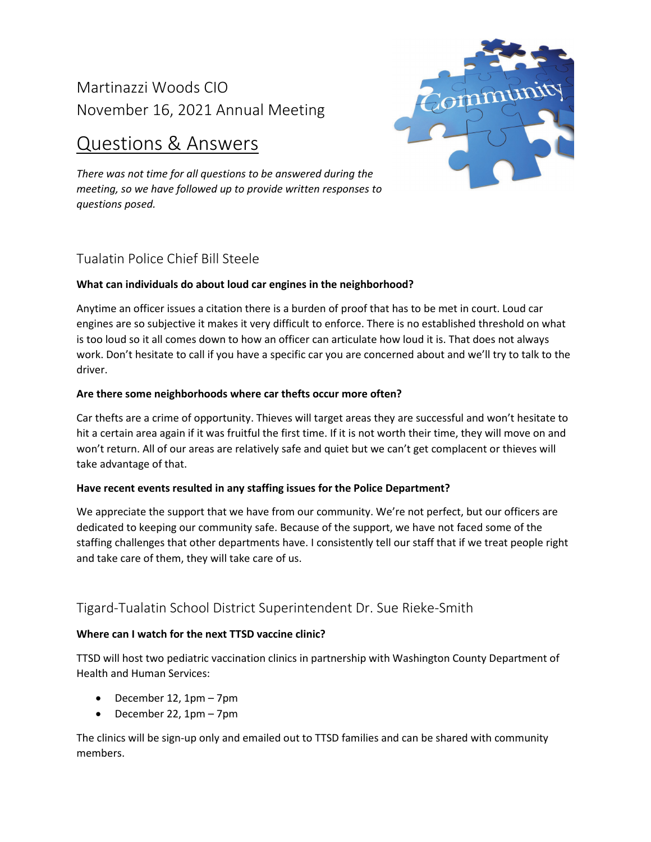# Martinazzi Woods CIO November 16, 2021 Annual Meeting

# Questions & Answers

*There was not time for all questions to be answered during the meeting, so we have followed up to provide written responses to questions posed.* 



# Tualatin Police Chief Bill Steele

## **What can individuals do about loud car engines in the neighborhood?**

Anytime an officer issues a citation there is a burden of proof that has to be met in court. Loud car engines are so subjective it makes it very difficult to enforce. There is no established threshold on what is too loud so it all comes down to how an officer can articulate how loud it is. That does not always work. Don't hesitate to call if you have a specific car you are concerned about and we'll try to talk to the driver.

# **Are there some neighborhoods where car thefts occur more often?**

Car thefts are a crime of opportunity. Thieves will target areas they are successful and won't hesitate to hit a certain area again if it was fruitful the first time. If it is not worth their time, they will move on and won't return. All of our areas are relatively safe and quiet but we can't get complacent or thieves will take advantage of that.

## **Have recent events resulted in any staffing issues for the Police Department?**

We appreciate the support that we have from our community. We're not perfect, but our officers are dedicated to keeping our community safe. Because of the support, we have not faced some of the staffing challenges that other departments have. I consistently tell our staff that if we treat people right and take care of them, they will take care of us.

# Tigard-Tualatin School District Superintendent Dr. Sue Rieke-Smith

## **Where can I watch for the next TTSD vaccine clinic?**

TTSD will host two pediatric vaccination clinics in partnership with Washington County Department of Health and Human Services:

- December 12, 1pm 7pm
- December 22, 1pm 7pm

The clinics will be sign-up only and emailed out to TTSD families and can be shared with community members.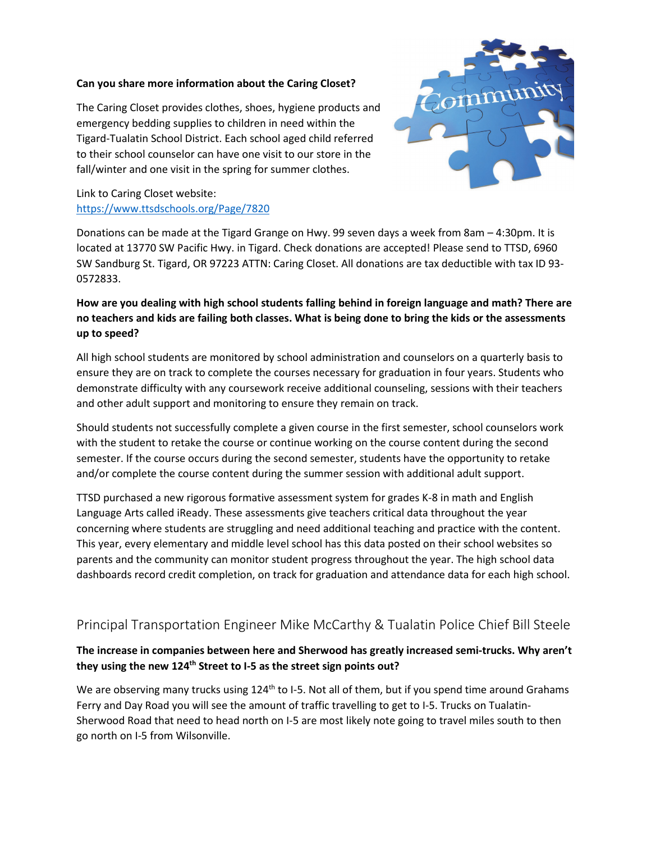#### **Can you share more information about the Caring Closet?**

The Caring Closet provides clothes, shoes, hygiene products and emergency bedding supplies to children in need within the Tigard-Tualatin School District. Each school aged child referred to their school counselor can have one visit to our store in the fall/winter and one visit in the spring for summer clothes.



# Link to Caring Closet website: <https://www.ttsdschools.org/Page/7820>

Donations can be made at the Tigard Grange on Hwy. 99 seven days a week from 8am – 4:30pm. It is located at 13770 SW Pacific Hwy. in Tigard. Check donations are accepted! Please send to TTSD, 6960 SW Sandburg St. Tigard, OR 97223 ATTN: Caring Closet. All donations are tax deductible with tax ID 93- 0572833.

# **How are you dealing with high school students falling behind in foreign language and math? There are no teachers and kids are failing both classes. What is being done to bring the kids or the assessments up to speed?**

All high school students are monitored by school administration and counselors on a quarterly basis to ensure they are on track to complete the courses necessary for graduation in four years. Students who demonstrate difficulty with any coursework receive additional counseling, sessions with their teachers and other adult support and monitoring to ensure they remain on track.

Should students not successfully complete a given course in the first semester, school counselors work with the student to retake the course or continue working on the course content during the second semester. If the course occurs during the second semester, students have the opportunity to retake and/or complete the course content during the summer session with additional adult support.

TTSD purchased a new rigorous formative assessment system for grades K-8 in math and English Language Arts called iReady. These assessments give teachers critical data throughout the year concerning where students are struggling and need additional teaching and practice with the content. This year, every elementary and middle level school has this data posted on their school websites so parents and the community can monitor student progress throughout the year. The high school data dashboards record credit completion, on track for graduation and attendance data for each high school.

# Principal Transportation Engineer Mike McCarthy & Tualatin Police Chief Bill Steele

## **The increase in companies between here and Sherwood has greatly increased semi-trucks. Why aren't**  they using the new 124<sup>th</sup> Street to I-5 as the street sign points out?

We are observing many trucks using  $124<sup>th</sup>$  to I-5. Not all of them, but if you spend time around Grahams Ferry and Day Road you will see the amount of traffic travelling to get to I-5. Trucks on Tualatin-Sherwood Road that need to head north on I-5 are most likely note going to travel miles south to then go north on I-5 from Wilsonville.